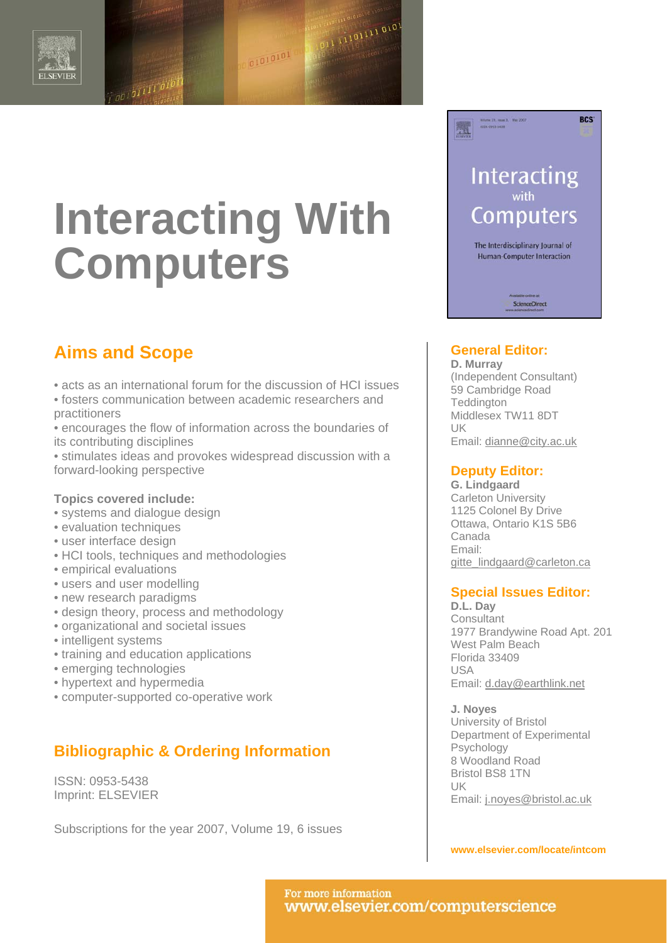

**Interacting With Computers**

01010101

11 11101111 010

## **Aims and Scope**

 $00101111010$ 

• acts as an international forum for the discussion of HCI issues

• fosters communication between academic researchers and practitioners

• encourages the flow of information across the boundaries of its contributing disciplines

• stimulates ideas and provokes widespread discussion with a forward-looking perspective

#### **Topics covered include:**

- systems and dialogue design
- evaluation techniques
- user interface design
- HCI tools, techniques and methodologies
- empirical evaluations
- users and user modelling
- new research paradigms
- design theory, process and methodology
- organizational and societal issues
- intelligent systems
- training and education applications
- emerging technologies
- hypertext and hypermedia
- computer-supported co-operative work

## **Bibliographic & Ordering Information**

ISSN: 0953-5438 Imprint: ELSEVIER

Subscriptions for the year 2007, Volume 19, 6 issues

# **Interacting** with **Computers**

霐

**BCS** 

The Interdisciplinary Journal of Human-Computer Interaction

ScienceDirect

### **General Editor:**

**D. Murray** (Independent Consultant) 59 Cambridge Road **Teddington** Middlesex TW11 8DT UK Email: dianne@city.ac.uk

### **Deputy Editor:**

**G. Lindgaard** Carleton University 1125 Colonel By Drive Ottawa, Ontario K1S 5B6 Canada Email: gitte\_lindgaard@carleton.ca

## **Special Issues Editor:**

**D.L. Day Consultant** 1977 Brandywine Road Apt. 201 West Palm Beach Florida 33409 USA Email: d.day@earthlink.net

**J. Noyes** University of Bristol Department of Experimental Psychology 8 Woodland Road Bristol BS8 1TN UK Email: j.noyes@bristol.ac.uk

**www.elsevier.com/locate/intcom**